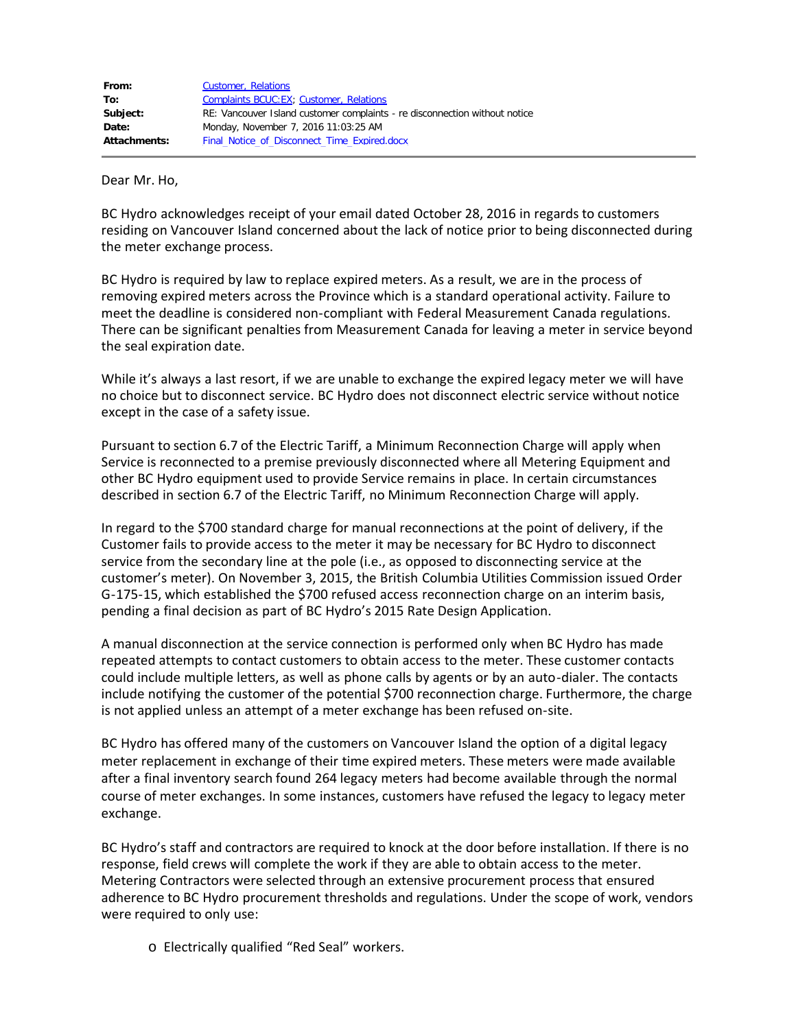| From:               | <b>Customer, Relations</b>                                                 |
|---------------------|----------------------------------------------------------------------------|
| To:                 | Complaints BCUC: EX; Customer, Relations                                   |
| Subject:            | RE: Vancouver Island customer complaints - re disconnection without notice |
| Date:               | Monday, November 7, 2016 11:03:25 AM                                       |
| <b>Attachments:</b> | Final Notice of Disconnect Time Expired.docx                               |

Dear Mr. Ho,

BC Hydro acknowledges receipt of your email dated October 28, 2016 in regards to customers residing on Vancouver Island concerned about the lack of notice prior to being disconnected during the meter exchange process.

BC Hydro is required by law to replace expired meters. As a result, we are in the process of removing expired meters across the Province which is a standard operational activity. Failure to meet the deadline is considered non-compliant with Federal Measurement Canada regulations. There can be significant penalties from Measurement Canada for leaving a meter in service beyond the seal expiration date.

While it's always a last resort, if we are unable to exchange the expired legacy meter we will have no choice but to disconnect service. BC Hydro does not disconnect electric service without notice except in the case of a safety issue.

Pursuant to section 6.7 of the Electric Tariff, a Minimum Reconnection Charge will apply when Service is reconnected to a premise previously disconnected where all Metering Equipment and other BC Hydro equipment used to provide Service remains in place. In certain circumstances described in section 6.7 of the Electric Tariff, no Minimum Reconnection Charge will apply.

In regard to the \$700 standard charge for manual reconnections at the point of delivery, if the Customer fails to provide access to the meter it may be necessary for BC Hydro to disconnect service from the secondary line at the pole (i.e., as opposed to disconnecting service at the customer's meter). On November 3, 2015, the British Columbia Utilities Commission issued Order G-175-15, which established the \$700 refused access reconnection charge on an interim basis, pending a final decision as part of BC Hydro's 2015 Rate Design Application.

A manual disconnection at the service connection is performed only when BC Hydro has made repeated attempts to contact customers to obtain access to the meter. These customer contacts could include multiple letters, as well as phone calls by agents or by an auto-dialer. The contacts include notifying the customer of the potential \$700 reconnection charge. Furthermore, the charge is not applied unless an attempt of a meter exchange has been refused on-site.

BC Hydro has offered many of the customers on Vancouver Island the option of a digital legacy meter replacement in exchange of their time expired meters. These meters were made available after a final inventory search found 264 legacy meters had become available through the normal course of meter exchanges. In some instances, customers have refused the legacy to legacy meter exchange.

BC Hydro's staff and contractors are required to knock at the door before installation. If there is no response, field crews will complete the work if they are able to obtain access to the meter. Metering Contractors were selected through an extensive procurement process that ensured adherence to BC Hydro procurement thresholds and regulations. Under the scope of work, vendors were required to only use:

o Electrically qualified "Red Seal" workers.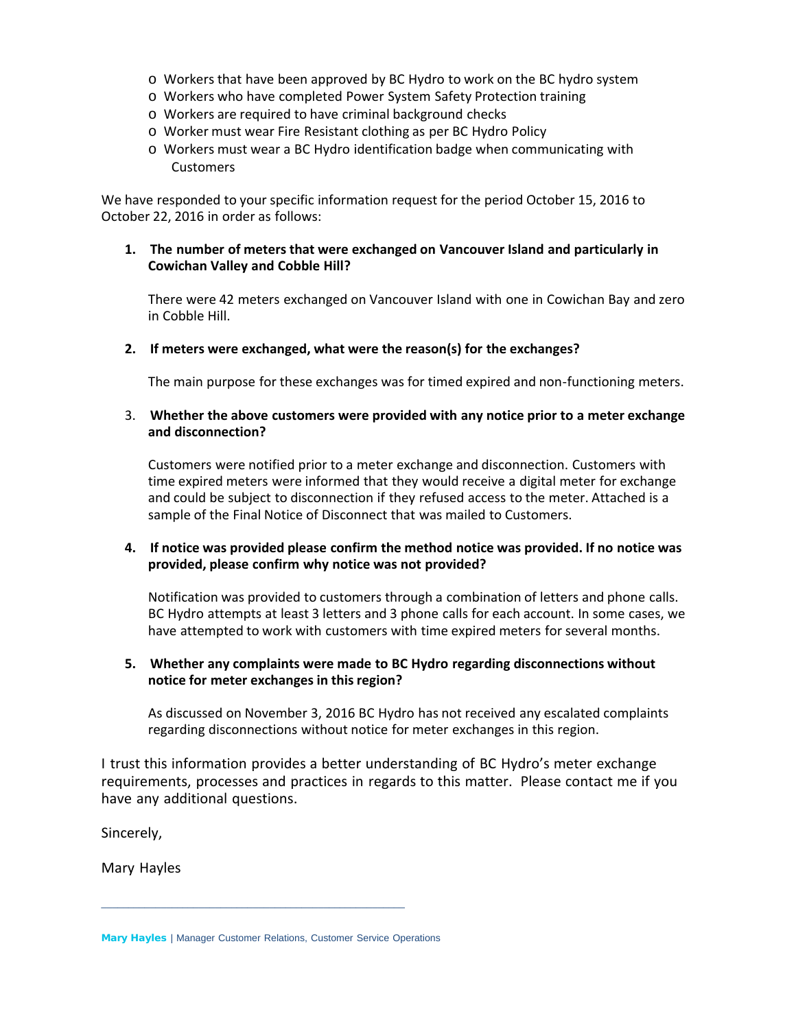- o Workers that have been approved by BC Hydro to work on the BC hydro system
- o Workers who have completed Power System Safety Protection training
- o Workers are required to have criminal background checks
- o Worker must wear Fire Resistant clothing as per BC Hydro Policy
- o Workers must wear a BC Hydro identification badge when communicating with Customers

We have responded to your specific information request for the period October 15, 2016 to October 22, 2016 in order as follows:

**1. The number of meters that were exchanged on Vancouver Island and particularly in Cowichan Valley and Cobble Hill?**

There were 42 meters exchanged on Vancouver Island with one in Cowichan Bay and zero in Cobble Hill.

**2. If meters were exchanged, what were the reason(s) for the exchanges?**

The main purpose for these exchanges was for timed expired and non-functioning meters.

#### 3. **Whether the above customers were provided with any notice prior to a meter exchange and disconnection?**

Customers were notified prior to a meter exchange and disconnection. Customers with time expired meters were informed that they would receive a digital meter for exchange and could be subject to disconnection if they refused access to the meter. Attached is a sample of the Final Notice of Disconnect that was mailed to Customers.

## **4. If notice was provided please confirm the method notice was provided. If no notice was provided, please confirm why notice was not provided?**

Notification was provided to customers through a combination of letters and phone calls. BC Hydro attempts at least 3 letters and 3 phone calls for each account. In some cases, we have attempted to work with customers with time expired meters for several months.

## **5. Whether any complaints were made to BC Hydro regarding disconnections without notice for meter exchanges in this region?**

As discussed on November 3, 2016 BC Hydro has not received any escalated complaints regarding disconnections without notice for meter exchanges in this region.

I trust this information provides a better understanding of BC Hydro's meter exchange requirements, processes and practices in regards to this matter. Please contact me if you have any additional questions.

Sincerely,

Mary Hayles

\_\_\_\_\_\_\_\_\_\_\_\_\_\_\_\_\_\_\_\_\_\_\_\_\_\_\_\_\_\_\_\_\_\_\_\_\_\_\_\_\_\_\_\_\_\_\_\_\_\_\_\_\_\_\_\_

Mary Hayles | Manager Customer Relations, Customer Service Operations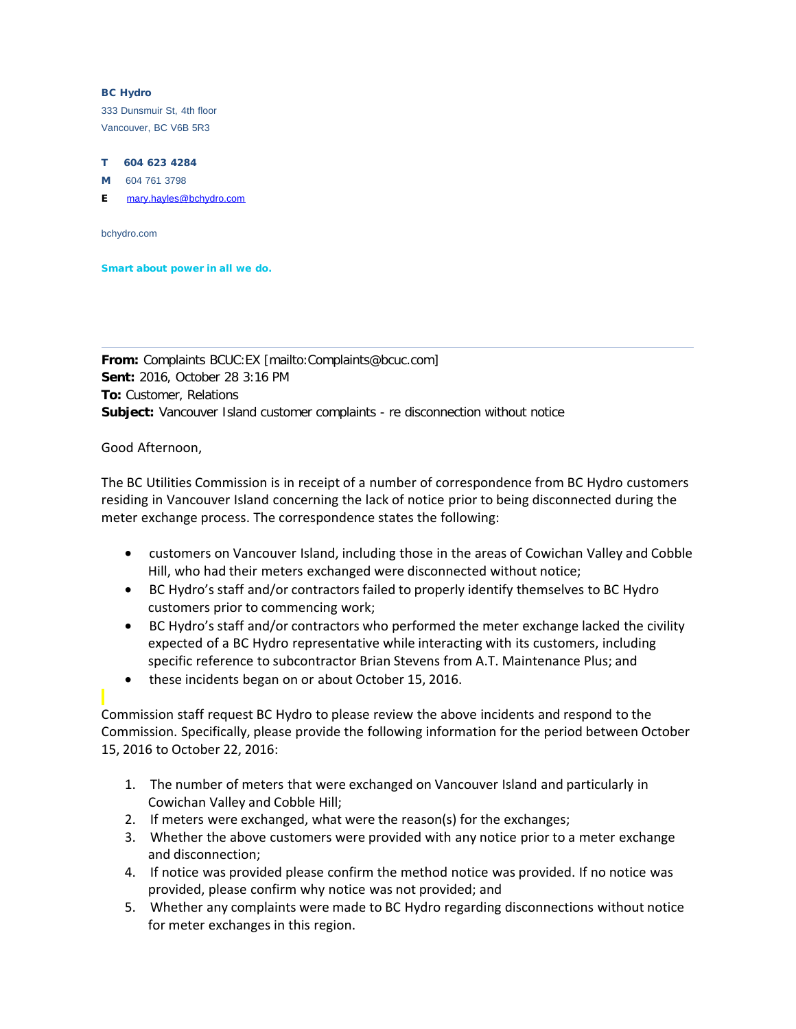#### BC Hydro

333 Dunsmuir St, 4th floor Vancouver, BC V6B 5R3

#### T 604 623 4284

M 604 761 3798

E [mary.hayles@bchydro.com](mailto:mary.hayles@bchydro.com)

bchydro.com

Smart about power in all we do.

**From:** Complaints BCUC:EX [mailto:Complaints@bcuc.com] **Sent:** 2016, October 28 3:16 PM **To:** Customer, Relations **Subject:** Vancouver Island customer complaints - re disconnection without notice

Good Afternoon,

The BC Utilities Commission is in receipt of a number of correspondence from BC Hydro customers residing in Vancouver Island concerning the lack of notice prior to being disconnected during the meter exchange process. The correspondence states the following:

- · customers on Vancouver Island, including those in the areas of Cowichan Valley and Cobble Hill, who had their meters exchanged were disconnected without notice;
- · BC Hydro's staff and/or contractors failed to properly identify themselves to BC Hydro customers prior to commencing work;
- · BC Hydro's staff and/or contractors who performed the meter exchange lacked the civility expected of a BC Hydro representative while interacting with its customers, including specific reference to subcontractor Brian Stevens from A.T. Maintenance Plus; and
- · these incidents began on or about October 15, 2016.

Commission staff request BC Hydro to please review the above incidents and respond to the Commission. Specifically, please provide the following information for the period between October 15, 2016 to October 22, 2016:

- 1. The number of meters that were exchanged on Vancouver Island and particularly in Cowichan Valley and Cobble Hill;
- 2. If meters were exchanged, what were the reason(s) for the exchanges;
- 3. Whether the above customers were provided with any notice prior to a meter exchange and disconnection;
- 4. If notice was provided please confirm the method notice was provided. If no notice was provided, please confirm why notice was not provided; and
- 5. Whether any complaints were made to BC Hydro regarding disconnections without notice for meter exchanges in this region.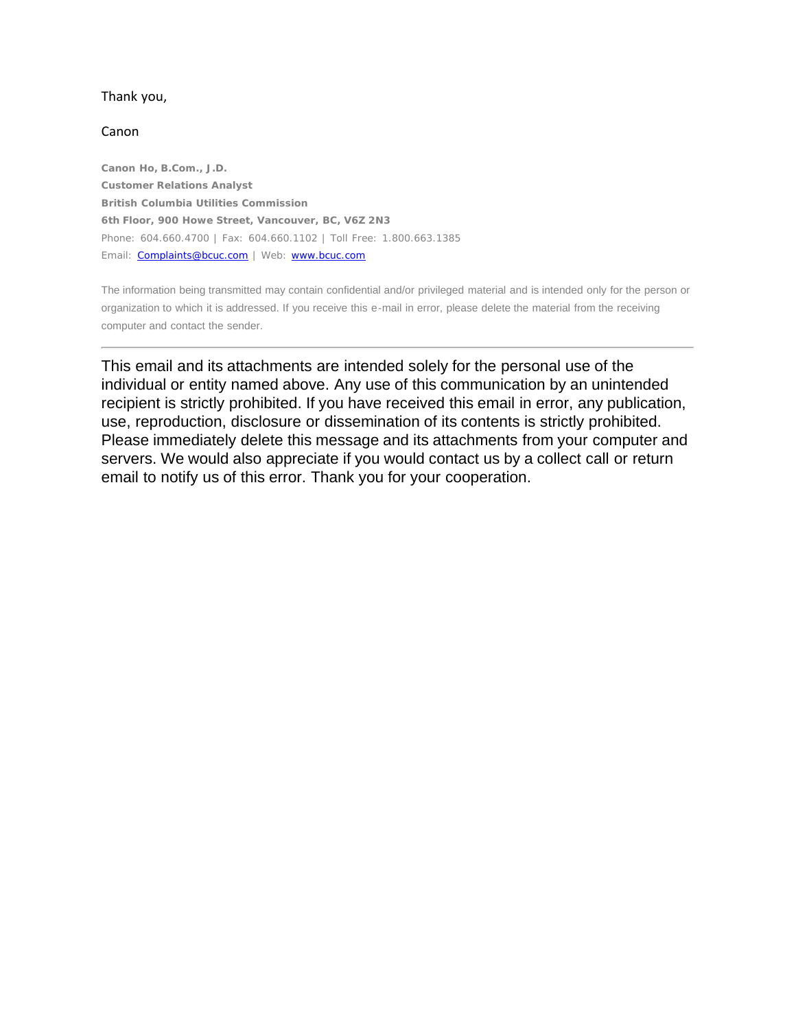#### Thank you,

#### Canon

**Canon Ho, B.Com., J.D. Customer Relations Analyst British Columbia Utilities Commission 6th Floor, 900 Howe Street, Vancouver, BC, V6Z 2N3** Phone: 604.660.4700 | Fax: 604.660.1102 | Toll Free: 1.800.663.1385 Email: **Complaints@bcuc.com** | Web: [www.bcuc.com](http://www.bcuc.com/)

The information being transmitted may contain confidential and/or privileged material and is intended only for the person or organization to which it is addressed. If you receive this e-mail in error, please delete the material from the receiving computer and contact the sender.

This email and its attachments are intended solely for the personal use of the individual or entity named above. Any use of this communication by an unintended recipient is strictly prohibited. If you have received this email in error, any publication, use, reproduction, disclosure or dissemination of its contents is strictly prohibited. Please immediately delete this message and its attachments from your computer and servers. We would also appreciate if you would contact us by a collect call or return email to notify us of this error. Thank you for your cooperation.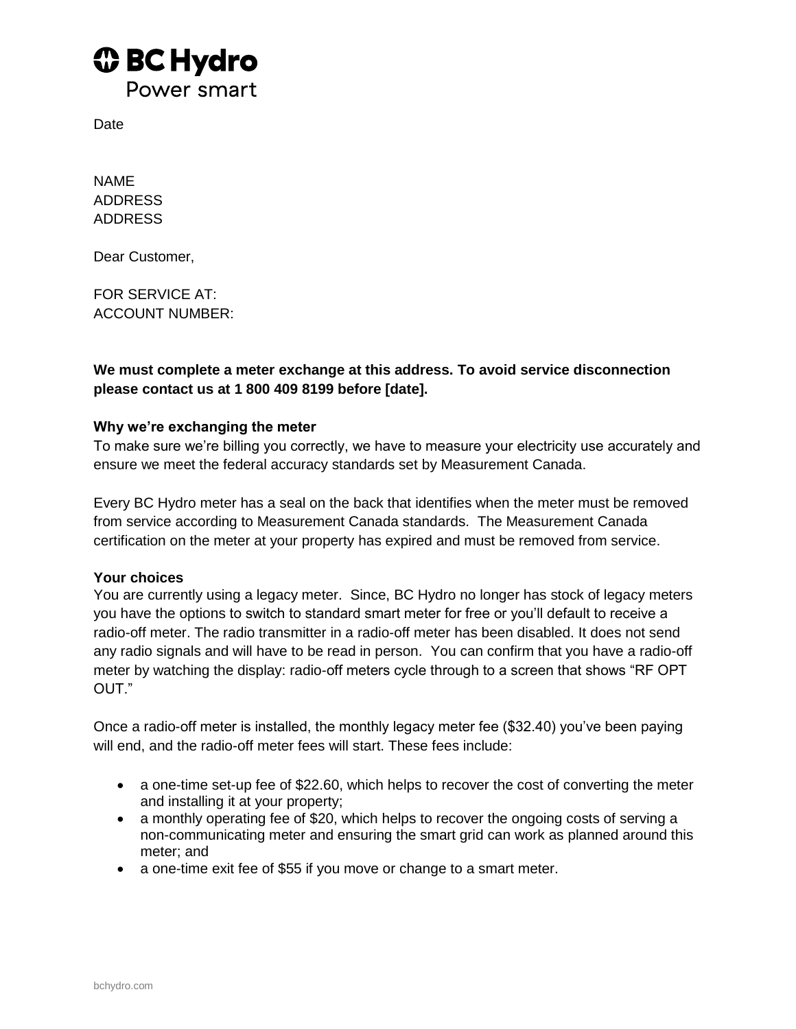# *I* BC Hydro

Power smart

**Date** 

NAME ADDRESS ADDRESS

Dear Customer,

FOR SERVICE AT: ACCOUNT NUMBER:

**We must complete a meter exchange at this address. To avoid service disconnection please contact us at 1 800 409 8199 before [date].** 

## **Why we're exchanging the meter**

To make sure we're billing you correctly, we have to measure your electricity use accurately and ensure we meet the federal accuracy standards set by Measurement Canada.

Every BC Hydro meter has a seal on the back that identifies when the meter must be removed from service according to Measurement Canada standards. The Measurement Canada certification on the meter at your property has expired and must be removed from service.

## **Your choices**

You are currently using a legacy meter. Since, BC Hydro no longer has stock of legacy meters you have the options to switch to standard smart meter for free or you'll default to receive a radio-off meter. The radio transmitter in a radio-off meter has been disabled. It does not send any radio signals and will have to be read in person. You can confirm that you have a radio-off meter by watching the display: radio-off meters cycle through to a screen that shows "RF OPT OUT."

Once a radio-off meter is installed, the monthly legacy meter fee (\$32.40) you've been paying will end, and the radio-off meter fees will start. These fees include:

- a one-time set-up fee of \$22.60, which helps to recover the cost of converting the meter and installing it at your property;
- a monthly operating fee of \$20, which helps to recover the ongoing costs of serving a non-communicating meter and ensuring the smart grid can work as planned around this meter; and
- a one-time exit fee of \$55 if you move or change to a smart meter.